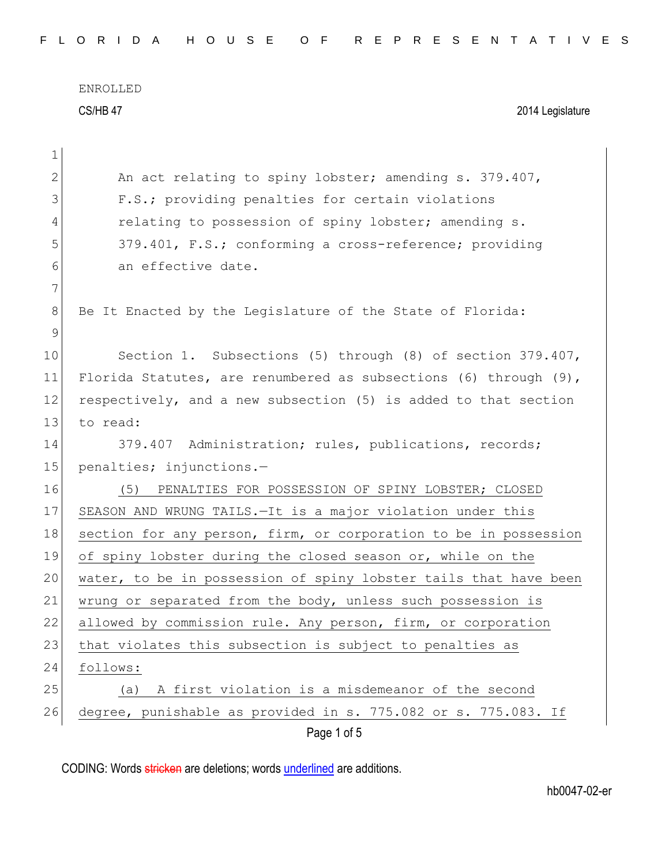ENROLLED CS/HB 47 2014 Legislature

| 1            |                                                                  |
|--------------|------------------------------------------------------------------|
| $\mathbf{2}$ | An act relating to spiny lobster; amending s. 379.407,           |
| 3            | F.S.; providing penalties for certain violations                 |
| 4            | relating to possession of spiny lobster; amending s.             |
| 5            | 379.401, F.S.; conforming a cross-reference; providing           |
| 6            | an effective date.                                               |
| 7            |                                                                  |
| $8\,$        | Be It Enacted by the Legislature of the State of Florida:        |
| 9            |                                                                  |
| 10           | Section 1. Subsections (5) through (8) of section 379.407,       |
| 11           | Florida Statutes, are renumbered as subsections (6) through (9), |
| 12           | respectively, and a new subsection (5) is added to that section  |
| 13           | to read:                                                         |
| 14           | 379.407 Administration; rules, publications, records;            |
| 15           | penalties; injunctions.-                                         |
| 16           | PENALTIES FOR POSSESSION OF SPINY LOBSTER; CLOSED<br>(5)         |
| 17           | SEASON AND WRUNG TAILS. - It is a major violation under this     |
| 18           | section for any person, firm, or corporation to be in possession |
| 19           | of spiny lobster during the closed season or, while on the       |
| 20           | water, to be in possession of spiny lobster tails that have been |
| 21           | wrung or separated from the body, unless such possession is      |
| 22           | allowed by commission rule. Any person, firm, or corporation     |
| 23           | that violates this subsection is subject to penalties as         |
| 24           | follows:                                                         |
| 25           | A first violation is a misdemeanor of the second<br>(a)          |
| 26           | degree, punishable as provided in s. 775.082 or s. 775.083. If   |
|              | Page 1 of 5                                                      |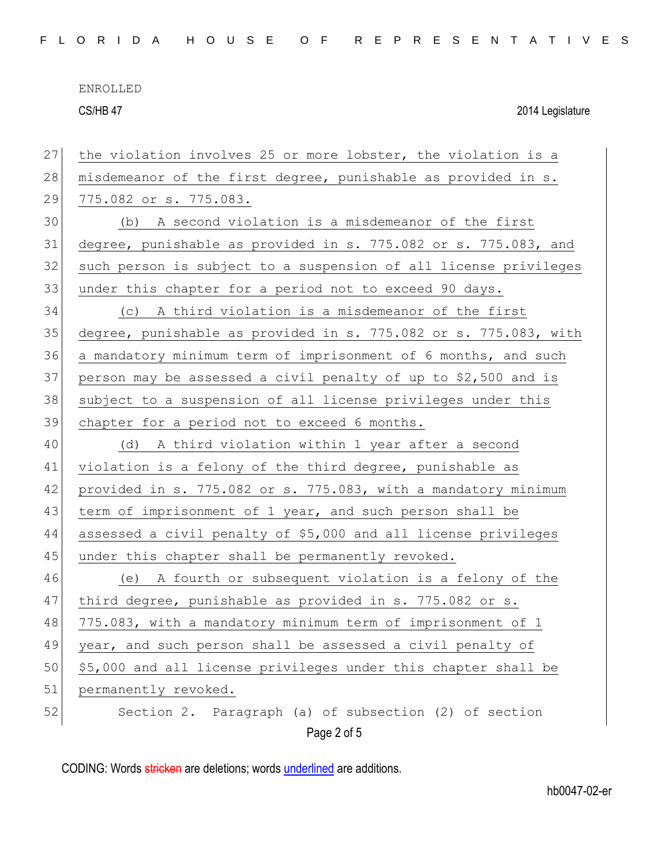CS/HB 47 2014 Legislature

| 27 | the violation involves 25 or more lobster, the violation is a    |
|----|------------------------------------------------------------------|
| 28 | misdemeanor of the first degree, punishable as provided in s.    |
| 29 | 775.082 or s. 775.083.                                           |
| 30 | (b) A second violation is a misdemeanor of the first             |
| 31 | degree, punishable as provided in s. 775.082 or s. 775.083, and  |
| 32 | such person is subject to a suspension of all license privileges |
| 33 | under this chapter for a period not to exceed 90 days.           |
| 34 | (c) A third violation is a misdemeanor of the first              |
| 35 | degree, punishable as provided in s. 775.082 or s. 775.083, with |
| 36 | a mandatory minimum term of imprisonment of 6 months, and such   |
| 37 | person may be assessed a civil penalty of up to \$2,500 and is   |
| 38 | subject to a suspension of all license privileges under this     |
| 39 | chapter for a period not to exceed 6 months.                     |
| 40 | (d) A third violation within 1 year after a second               |
| 41 | violation is a felony of the third degree, punishable as         |
| 42 | provided in s. 775.082 or s. 775.083, with a mandatory minimum   |
| 43 | term of imprisonment of 1 year, and such person shall be         |
| 44 | assessed a civil penalty of \$5,000 and all license privileges   |
| 45 | under this chapter shall be permanently revoked.                 |
| 46 | (e) A fourth or subsequent violation is a felony of the          |
| 47 | third degree, punishable as provided in s. 775.082 or s.         |
| 48 | 775.083, with a mandatory minimum term of imprisonment of 1      |
| 49 | year, and such person shall be assessed a civil penalty of       |
| 50 | \$5,000 and all license privileges under this chapter shall be   |
| 51 | permanently revoked.                                             |
| 52 | Section 2. Paragraph (a) of subsection (2) of section            |
|    | Page 2 of 5                                                      |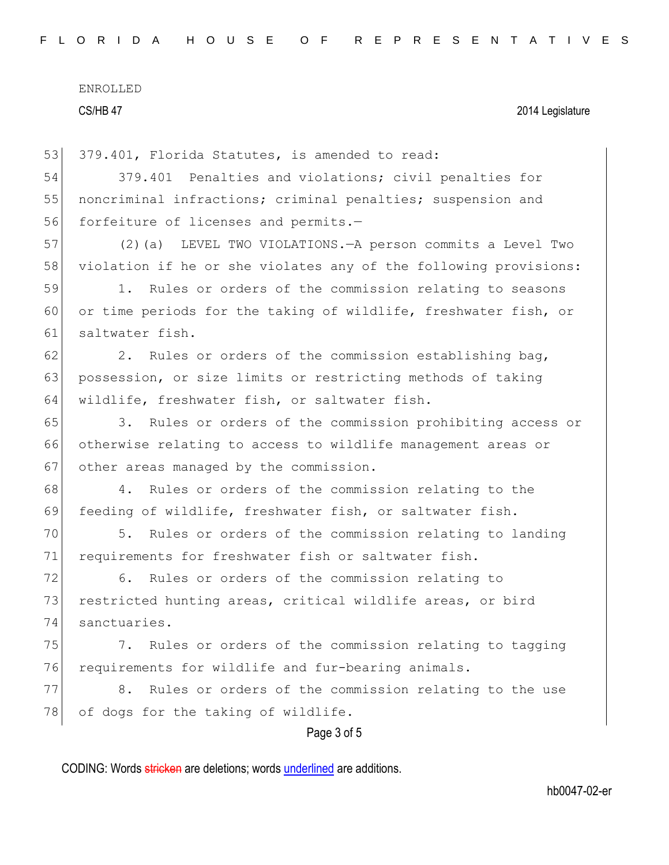CS/HB 47 2014 Legislature

53 379.401, Florida Statutes, is amended to read:

54 379.401 Penalties and violations; civil penalties for 55 noncriminal infractions; criminal penalties; suspension and 56 forfeiture of licenses and permits.-

57 (2)(a) LEVEL TWO VIOLATIONS.—A person commits a Level Two 58 violation if he or she violates any of the following provisions:

59 1. Rules or orders of the commission relating to seasons 60 or time periods for the taking of wildlife, freshwater fish, or 61 saltwater fish.

 $62$  2. Rules or orders of the commission establishing bag, 63 possession, or size limits or restricting methods of taking 64 wildlife, freshwater fish, or saltwater fish.

65 3. Rules or orders of the commission prohibiting access or 66 otherwise relating to access to wildlife management areas or 67 other areas managed by the commission.

68 4. Rules or orders of the commission relating to the 69 feeding of wildlife, freshwater fish, or saltwater fish.

70 5. Rules or orders of the commission relating to landing 71 requirements for freshwater fish or saltwater fish.

72 6. Rules or orders of the commission relating to 73 restricted hunting areas, critical wildlife areas, or bird 74 sanctuaries.

75 7. Rules or orders of the commission relating to tagging 76 requirements for wildlife and fur-bearing animals.

77 8. Rules or orders of the commission relating to the use 78 of dogs for the taking of wildlife.

Page 3 of 5

CODING: Words stricken are deletions; words underlined are additions.

hb0047-02-er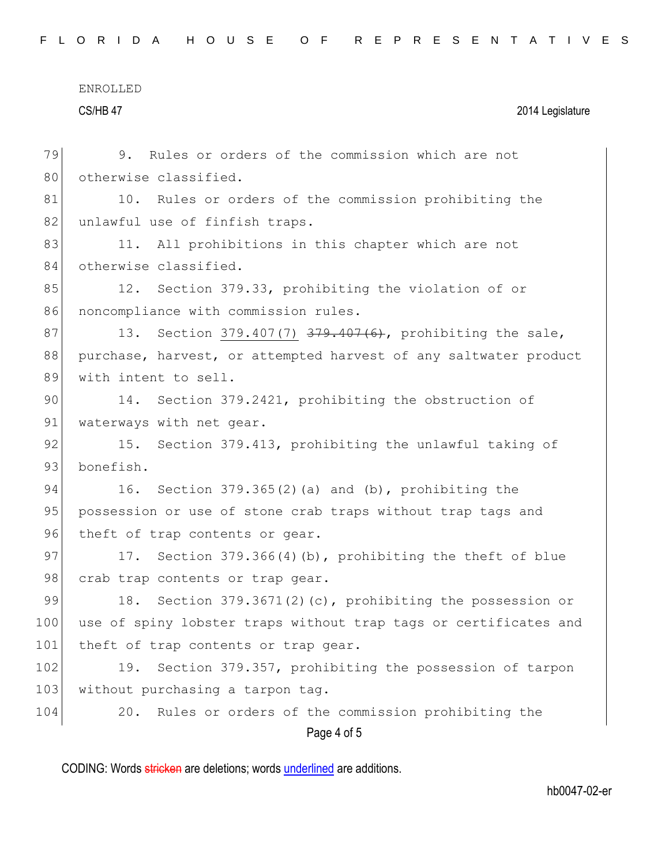CS/HB 47 2014 Legislature

| 79  | 9. Rules or orders of the commission which are not               |
|-----|------------------------------------------------------------------|
| 80  | otherwise classified.                                            |
| 81  | 10. Rules or orders of the commission prohibiting the            |
| 82  | unlawful use of finfish traps.                                   |
| 83  | 11. All prohibitions in this chapter which are not               |
| 84  | otherwise classified.                                            |
| 85  | 12. Section 379.33, prohibiting the violation of or              |
| 86  | noncompliance with commission rules.                             |
| 87  | 13. Section 379.407(7) 379.407(6), prohibiting the sale,         |
| 88  | purchase, harvest, or attempted harvest of any saltwater product |
| 89  | with intent to sell.                                             |
| 90  | 14. Section 379.2421, prohibiting the obstruction of             |
| 91  | waterways with net gear.                                         |
| 92  | 15. Section 379.413, prohibiting the unlawful taking of          |
| 93  | bonefish.                                                        |
| 94  | 16. Section $379.365(2)$ (a) and (b), prohibiting the            |
| 95  | possession or use of stone crab traps without trap tags and      |
| 96  | theft of trap contents or gear.                                  |
| 97  | 17. Section 379.366(4)(b), prohibiting the theft of blue         |
| 98  | crab trap contents or trap gear.                                 |
| 99  | 18. Section 379.3671(2)(c), prohibiting the possession or        |
| 100 | use of spiny lobster traps without trap tags or certificates and |
| 101 | theft of trap contents or trap gear.                             |
| 102 | Section 379.357, prohibiting the possession of tarpon<br>19.     |
| 103 | without purchasing a tarpon tag.                                 |
| 104 | Rules or orders of the commission prohibiting the<br>20.         |
|     | Page 4 of 5                                                      |